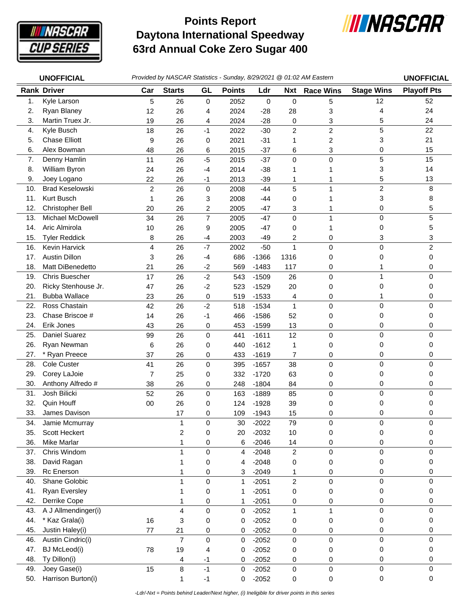

## **Daytona International Speedway 63rd Annual Coke Zero Sugar 400 Points Report**



| <b>UNOFFICIAL</b> |                             | Provided by NASCAR Statistics - Sunday, 8/29/2021 @ 01:02 AM Eastern |                         |                  |               |                    |                      |                  |                         | <b>UNOFFICIAL</b>  |
|-------------------|-----------------------------|----------------------------------------------------------------------|-------------------------|------------------|---------------|--------------------|----------------------|------------------|-------------------------|--------------------|
|                   | <b>Rank Driver</b>          | Car                                                                  | <b>Starts</b>           | GL               | <b>Points</b> | Ldr                | Nxt                  | <b>Race Wins</b> | <b>Stage Wins</b>       | <b>Playoff Pts</b> |
| 1.                | Kyle Larson                 | 5                                                                    | 26                      | $\mathbf 0$      | 2052          | 0                  | 0                    | 5                | 12                      | 52                 |
| 2.                | Ryan Blaney                 | 12                                                                   | 26                      | 4                | 2024          | $-28$              | 28                   | 3                | 4                       | 24                 |
| 3.                | Martin Truex Jr.            | 19                                                                   | 26                      | 4                | 2024          | $-28$              | 0                    | 3                | 5                       | 24                 |
| 4.                | Kyle Busch                  | 18                                                                   | 26                      | $-1$             | 2022          | $-30$              | $\overline{c}$       | $\boldsymbol{2}$ | 5                       | 22                 |
| 5.                | <b>Chase Elliott</b>        | 9                                                                    | 26                      | 0                | 2021          | $-31$              | 1                    | 2                | 3                       | 21                 |
| 6.                | Alex Bowman                 | 48                                                                   | 26                      | 6                | 2015          | $-37$              | 6                    | 3                | 0                       | 15                 |
| 7.                | Denny Hamlin                | 11                                                                   | 26                      | $-5$             | 2015          | $-37$              | 0                    | $\mathbf 0$      | 5                       | 15                 |
| 8.                | William Byron               | 24                                                                   | 26                      | $-4$             | 2014          | $-38$              | 1                    | 1                | 3                       | 14                 |
| 9.                | Joey Logano                 | 22                                                                   | 26                      | $-1$             | 2013          | $-39$              | 1                    | 1                | 5                       | 13                 |
| 10.               | <b>Brad Keselowski</b>      | $\overline{c}$                                                       | 26                      | 0                | 2008          | $-44$              | 5                    | 1                | $\overline{\mathbf{c}}$ | 8                  |
| 11.               | Kurt Busch                  | 1                                                                    | 26                      | 3                | 2008          | $-44$              | 0                    | 1                | 3                       | 8                  |
| 12.               | Christopher Bell            | 20                                                                   | 26                      | 2                | 2005          | $-47$              | 3                    | 1                | 0                       | 5                  |
| 13.               | Michael McDowell            | 34                                                                   | 26                      | $\overline{7}$   | 2005          | $-47$              | 0                    | 1                | 0                       | 5                  |
| 14.               | Aric Almirola               | 10                                                                   | 26                      | 9                | 2005          | $-47$              | 0                    | 1                | 0                       | 5                  |
| 15.               | <b>Tyler Reddick</b>        | 8                                                                    | 26                      | $-4$             | 2003          | -49                | 2                    | 0                | 3                       | 3                  |
| 16.               | Kevin Harvick               | $\overline{4}$                                                       | 26                      | $-7$             | 2002          | $-50$              | 1                    | $\pmb{0}$        | 0                       | $\overline{2}$     |
| 17.               | <b>Austin Dillon</b>        | 3                                                                    | 26                      | $-4$             | 686           | $-1366$            | 1316                 | 0                | 0                       | 0                  |
| 18.               | Matt DiBenedetto            | 21                                                                   | 26                      | $-2$             | 569           | $-1483$            | 117                  | 0                |                         | 0                  |
| 19.               | Chris Buescher              | 17                                                                   | 26                      | $-2$             | 543           | $-1509$            | 26                   | 0                | $\mathbf{1}$            | 0                  |
| 20.               | Ricky Stenhouse Jr.         | 47                                                                   | 26                      | $-2$             | 523           | $-1529$            | 20                   | 0                | 0                       | 0                  |
| 21.               | <b>Bubba Wallace</b>        | 23                                                                   | 26                      | $\pmb{0}$        | 519           | $-1533$            | 4                    | 0                | 1                       | 0                  |
| 22.               | Ross Chastain               | 42                                                                   | 26                      | $-2$             | 518           | $-1534$            | $\mathbf{1}$         | $\mathbf 0$      | 0                       | 0                  |
| 23.               | Chase Briscoe #             | 14                                                                   | 26                      | $-1$             | 466           | $-1586$            | 52                   | 0                | 0                       | 0                  |
| 24.               | Erik Jones                  | 43                                                                   | 26                      | 0                | 453           | $-1599$            | 13                   | 0                | 0                       | 0                  |
| 25.               | Daniel Suarez               | 99                                                                   | 26                      | $\mathbf 0$      | 441           | $-1611$            | 12                   | $\mathbf 0$      | 0                       | 0                  |
| 26.               | Ryan Newman                 | 6                                                                    | 26                      | 0                | 440           | $-1612$            | 1                    | 0                | 0                       | 0                  |
| 27.               | * Ryan Preece               | 37                                                                   | 26                      | 0                | 433           | $-1619$            | $\overline{7}$       | 0                | 0                       | 0                  |
| 28.               | <b>Cole Custer</b>          | 41                                                                   | 26                      | 0                | 395           | $-1657$            | 38                   | $\mathbf 0$      | 0                       | 0                  |
| 29.               | Corey LaJoie                | $\overline{7}$                                                       | 25                      | 0                | 332           | $-1720$            | 63                   | 0                | 0                       | 0                  |
| 30.               | Anthony Alfredo #           | 38                                                                   | 26                      | 0                | 248           | $-1804$            | 84                   | 0                | 0                       | 0                  |
| 31.               | Josh Bilicki                | 52                                                                   | 26                      | 0                | 163           | $-1889$            | 85                   | $\pmb{0}$        | 0                       | 0                  |
| 32.               | Quin Houff                  | 00                                                                   | 26                      | 0                | 124           | $-1928$            | 39                   | 0                | 0                       | 0                  |
| 33.               | James Davison               |                                                                      | 17                      | 0                | 109           | $-1943$            | 15                   | 0                | 0                       | 0                  |
| 34.               | Jamie Mcmurray              |                                                                      | 1                       | 0                | 30            | $-2022$            | 79                   | 0                | 0                       | 0                  |
| 35.               | Scott Heckert               |                                                                      | 2                       | 0                | 20            | $-2032$            | 10                   | 0                | 0                       | 0                  |
| 36.<br>37.        | Mike Marlar<br>Chris Windom |                                                                      | 1<br>1                  | 0<br>$\mathbf 0$ | 6             | $-2046$<br>$-2048$ | 14<br>$\overline{2}$ | 0                | 0<br>0                  | 0<br>0             |
| 38.               | David Ragan                 |                                                                      | 1                       | 0                | 4<br>4        | $-2048$            | 0                    | 0<br>0           | 0                       | 0                  |
| 39.               | Rc Enerson                  |                                                                      | 1                       | 0                | 3             | $-2049$            | 1                    | 0                | 0                       | 0                  |
| 40.               | Shane Golobic               |                                                                      | 1                       | $\mathsf 0$      | 1             | $-2051$            | $\overline{c}$       | $\mathbf 0$      | 0                       | 0                  |
| 41.               | Ryan Eversley               |                                                                      | 1                       | 0                | 1             | $-2051$            | 0                    | 0                | 0                       | 0                  |
| 42.               | Derrike Cope                |                                                                      | 1                       | 0                | 1             | $-2051$            | 0                    | 0                | 0                       | 0                  |
| 43.               | A J Allmendinger(i)         |                                                                      | $\overline{\mathbf{4}}$ | $\pmb{0}$        | 0             | $-2052$            | $\mathbf 1$          | $\mathbf{1}$     | 0                       | 0                  |
| 44.               | * Kaz Grala(i)              | 16                                                                   | 3                       | 0                | 0             | $-2052$            | 0                    | 0                | 0                       | 0                  |
| 45.               | Justin Haley(i)             | 77                                                                   | 21                      | 0                | $\mathbf 0$   | $-2052$            | 0                    | 0                | 0                       | 0                  |
| 46.               | Austin Cindric(i)           |                                                                      | $\overline{7}$          | 0                | 0             | $-2052$            | 0                    | $\mathsf 0$      | 0                       | $\mathbf 0$        |
| 47.               | <b>BJ</b> McLeod(i)         | 78                                                                   | 19                      | 4                | 0             | $-2052$            | 0                    | 0                | 0                       | 0                  |
| 48.               | Ty Dillon(i)                |                                                                      | 4                       | $-1$             | 0             | $-2052$            | 0                    | 0                | 0                       | 0                  |
| 49.               | Joey Gase(i)                | 15                                                                   | 8                       | $-1$             | $\pmb{0}$     | $-2052$            | $\pmb{0}$            | $\pmb{0}$        | $\mathbf 0$             | 0                  |
| 50.               | Harrison Burton(i)          |                                                                      | 1                       | $-1$             | 0             | $-2052$            | 0                    | 0                | $\mathsf 0$             | 0                  |